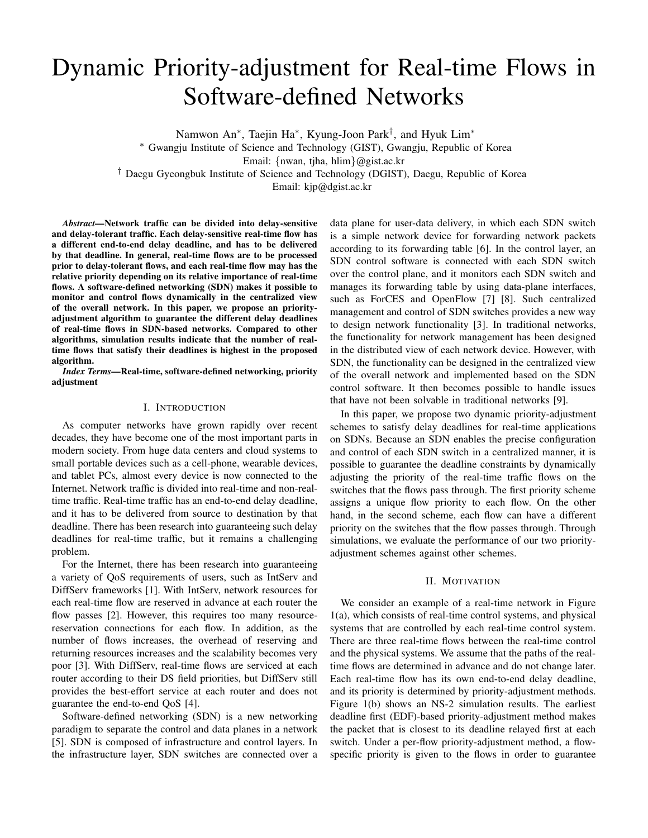# Dynamic Priority-adjustment for Real-time Flows in Software-defined Networks

Namwon An<sup>∗</sup>, Taejin Ha<sup>∗</sup>, Kyung-Joon Park<sup>†</sup>, and Hyuk Lim<sup>∗</sup> <sup>∗</sup> Gwangju Institute of Science and Technology (GIST), Gwangju, Republic of Korea Email: {nwan, tjha, hlim}@gist.ac.kr † Daegu Gyeongbuk Institute of Science and Technology (DGIST), Daegu, Republic of Korea Email: kjp@dgist.ac.kr

*Abstract***—Network traffic can be divided into delay-sensitive and delay-tolerant traffic. Each delay-sensitive real-time flow has a different end-to-end delay deadline, and has to be delivered by that deadline. In general, real-time flows are to be processed prior to delay-tolerant flows, and each real-time flow may has the relative priority depending on its relative importance of real-time flows. A software-defined networking (SDN) makes it possible to monitor and control flows dynamically in the centralized view of the overall network. In this paper, we propose an priorityadjustment algorithm to guarantee the different delay deadlines of real-time flows in SDN-based networks. Compared to other algorithms, simulation results indicate that the number of realtime flows that satisfy their deadlines is highest in the proposed algorithm.**

*Index Terms***—Real-time, software-defined networking, priority adjustment**

### I. INTRODUCTION

As computer networks have grown rapidly over recent decades, they have become one of the most important parts in modern society. From huge data centers and cloud systems to small portable devices such as a cell-phone, wearable devices, and tablet PCs, almost every device is now connected to the Internet. Network traffic is divided into real-time and non-realtime traffic. Real-time traffic has an end-to-end delay deadline, and it has to be delivered from source to destination by that deadline. There has been research into guaranteeing such delay deadlines for real-time traffic, but it remains a challenging problem.

For the Internet, there has been research into guaranteeing a variety of QoS requirements of users, such as IntServ and DiffServ frameworks [1]. With IntServ, network resources for each real-time flow are reserved in advance at each router the flow passes [2]. However, this requires too many resourcereservation connections for each flow. In addition, as the number of flows increases, the overhead of reserving and returning resources increases and the scalability becomes very poor [3]. With DiffServ, real-time flows are serviced at each router according to their DS field priorities, but DiffServ still provides the best-effort service at each router and does not guarantee the end-to-end QoS [4].

Software-defined networking (SDN) is a new networking paradigm to separate the control and data planes in a network [5]. SDN is composed of infrastructure and control layers. In the infrastructure layer, SDN switches are connected over a

data plane for user-data delivery, in which each SDN switch is a simple network device for forwarding network packets according to its forwarding table [6]. In the control layer, an SDN control software is connected with each SDN switch over the control plane, and it monitors each SDN switch and manages its forwarding table by using data-plane interfaces, such as ForCES and OpenFlow [7] [8]. Such centralized management and control of SDN switches provides a new way to design network functionality [3]. In traditional networks, the functionality for network management has been designed in the distributed view of each network device. However, with SDN, the functionality can be designed in the centralized view of the overall network and implemented based on the SDN control software. It then becomes possible to handle issues that have not been solvable in traditional networks [9].

In this paper, we propose two dynamic priority-adjustment schemes to satisfy delay deadlines for real-time applications on SDNs. Because an SDN enables the precise configuration and control of each SDN switch in a centralized manner, it is possible to guarantee the deadline constraints by dynamically adjusting the priority of the real-time traffic flows on the switches that the flows pass through. The first priority scheme assigns a unique flow priority to each flow. On the other hand, in the second scheme, each flow can have a different priority on the switches that the flow passes through. Through simulations, we evaluate the performance of our two priorityadjustment schemes against other schemes.

## II. MOTIVATION

We consider an example of a real-time network in Figure 1(a), which consists of real-time control systems, and physical systems that are controlled by each real-time control system. There are three real-time flows between the real-time control and the physical systems. We assume that the paths of the realtime flows are determined in advance and do not change later. Each real-time flow has its own end-to-end delay deadline, and its priority is determined by priority-adjustment methods. Figure 1(b) shows an NS-2 simulation results. The earliest deadline first (EDF)-based priority-adjustment method makes the packet that is closest to its deadline relayed first at each switch. Under a per-flow priority-adjustment method, a flowspecific priority is given to the flows in order to guarantee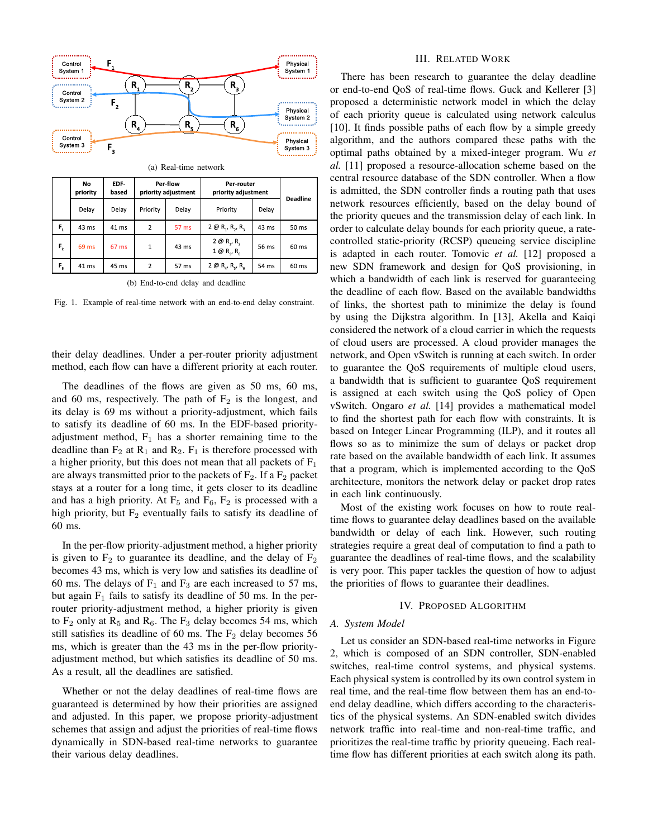

|                         | No<br>priority | EDF-<br>based | Per-flow<br>priority adjustment |       | Per-router<br>priority adjustment                           |       | <b>Deadline</b> |
|-------------------------|----------------|---------------|---------------------------------|-------|-------------------------------------------------------------|-------|-----------------|
|                         | Delay          | Delay         | Priority                        | Delay | Priority                                                    | Delay |                 |
| F,                      | 43 ms          | 41 ms         | 2                               | 57 ms | $2 \oplus R_{1}$ , $R_{2}$ , $R_{3}$                        | 43 ms | 50 ms           |
| F,                      | 69 ms          | 67 ms         | $\mathbf{1}$                    | 43 ms | $2 \oplus R_{1}$ , R <sub>2</sub><br>$1 \oplus R_c$ , $R_c$ | 56 ms | 60 ms           |
| $\mathsf{F}_\mathsf{a}$ | 41 ms          | 45 ms         | 2                               | 57 ms | $2 \oplus R_a$ , $R_c$ , $R_c$                              | 54 ms | 60 ms           |

(b) End-to-end delay and deadline

Fig. 1. Example of real-time network with an end-to-end delay constraint.

their delay deadlines. Under a per-router priority adjustment method, each flow can have a different priority at each router.

The deadlines of the flows are given as 50 ms, 60 ms, and 60 ms, respectively. The path of  $F_2$  is the longest, and its delay is 69 ms without a priority-adjustment, which fails to satisfy its deadline of 60 ms. In the EDF-based priorityadjustment method,  $F_1$  has a shorter remaining time to the deadline than  $F_2$  at  $R_1$  and  $R_2$ .  $F_1$  is therefore processed with a higher priority, but this does not mean that all packets of  $F_1$ are always transmitted prior to the packets of  $F_2$ . If a  $F_2$  packet stays at a router for a long time, it gets closer to its deadline and has a high priority. At  $F_5$  and  $F_6$ ,  $F_2$  is processed with a high priority, but  $F_2$  eventually fails to satisfy its deadline of 60 ms.

In the per-flow priority-adjustment method, a higher priority is given to  $F_2$  to guarantee its deadline, and the delay of  $F_2$ becomes 43 ms, which is very low and satisfies its deadline of 60 ms. The delays of  $F_1$  and  $F_3$  are each increased to 57 ms, but again  $F_1$  fails to satisfy its deadline of 50 ms. In the perrouter priority-adjustment method, a higher priority is given to  $F_2$  only at  $R_5$  and  $R_6$ . The  $F_3$  delay becomes 54 ms, which still satisfies its deadline of 60 ms. The  $F_2$  delay becomes 56 ms, which is greater than the 43 ms in the per-flow priorityadjustment method, but which satisfies its deadline of 50 ms. As a result, all the deadlines are satisfied.

Whether or not the delay deadlines of real-time flows are guaranteed is determined by how their priorities are assigned and adjusted. In this paper, we propose priority-adjustment schemes that assign and adjust the priorities of real-time flows dynamically in SDN-based real-time networks to guarantee their various delay deadlines.

## III. RELATED WORK

There has been research to guarantee the delay deadline or end-to-end QoS of real-time flows. Guck and Kellerer [3] proposed a deterministic network model in which the delay of each priority queue is calculated using network calculus [10]. It finds possible paths of each flow by a simple greedy algorithm, and the authors compared these paths with the optimal paths obtained by a mixed-integer program. Wu *et al.* [11] proposed a resource-allocation scheme based on the central resource database of the SDN controller. When a flow is admitted, the SDN controller finds a routing path that uses network resources efficiently, based on the delay bound of the priority queues and the transmission delay of each link. In order to calculate delay bounds for each priority queue, a ratecontrolled static-priority (RCSP) queueing service discipline is adapted in each router. Tomovic *et al.* [12] proposed a new SDN framework and design for QoS provisioning, in which a bandwidth of each link is reserved for guaranteeing the deadline of each flow. Based on the available bandwidths of links, the shortest path to minimize the delay is found by using the Dijkstra algorithm. In [13], Akella and Kaiqi considered the network of a cloud carrier in which the requests of cloud users are processed. A cloud provider manages the network, and Open vSwitch is running at each switch. In order to guarantee the QoS requirements of multiple cloud users, a bandwidth that is sufficient to guarantee QoS requirement is assigned at each switch using the QoS policy of Open vSwitch. Ongaro *et al.* [14] provides a mathematical model to find the shortest path for each flow with constraints. It is based on Integer Linear Programming (ILP), and it routes all flows so as to minimize the sum of delays or packet drop rate based on the available bandwidth of each link. It assumes that a program, which is implemented according to the QoS architecture, monitors the network delay or packet drop rates in each link continuously.

Most of the existing work focuses on how to route realtime flows to guarantee delay deadlines based on the available bandwidth or delay of each link. However, such routing strategies require a great deal of computation to find a path to guarantee the deadlines of real-time flows, and the scalability is very poor. This paper tackles the question of how to adjust the priorities of flows to guarantee their deadlines.

## IV. PROPOSED ALGORITHM

## *A. System Model*

Let us consider an SDN-based real-time networks in Figure 2, which is composed of an SDN controller, SDN-enabled switches, real-time control systems, and physical systems. Each physical system is controlled by its own control system in real time, and the real-time flow between them has an end-toend delay deadline, which differs according to the characteristics of the physical systems. An SDN-enabled switch divides network traffic into real-time and non-real-time traffic, and prioritizes the real-time traffic by priority queueing. Each realtime flow has different priorities at each switch along its path.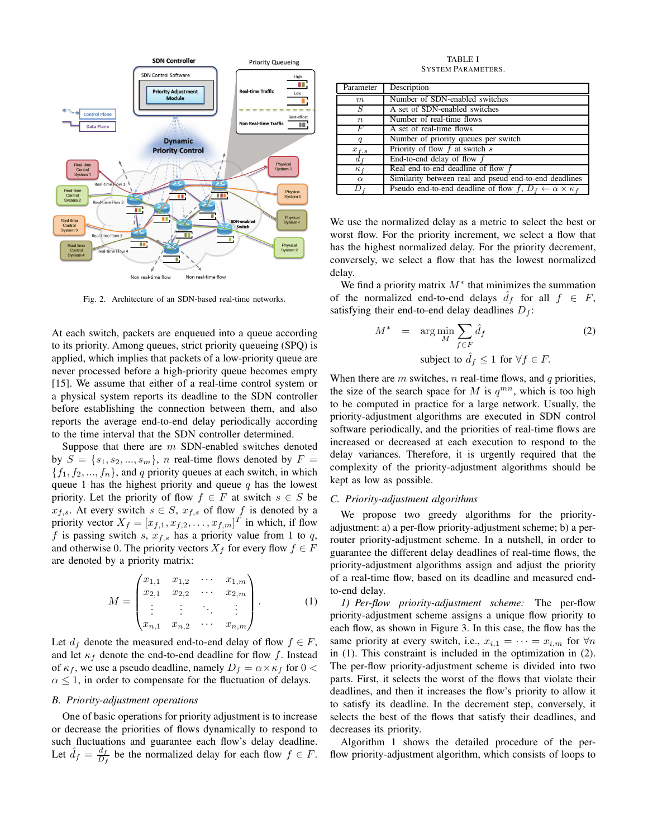

Fig. 2. Architecture of an SDN-based real-time networks.

At each switch, packets are enqueued into a queue according to its priority. Among queues, strict priority queueing (SPQ) is applied, which implies that packets of a low-priority queue are never processed before a high-priority queue becomes empty [15]. We assume that either of a real-time control system or a physical system reports its deadline to the SDN controller before establishing the connection between them, and also reports the average end-to-end delay periodically according to the time interval that the SDN controller determined.

Suppose that there are  $m$  SDN-enabled switches denoted by  $S = \{s_1, s_2, ..., s_m\}$ , *n* real-time flows denoted by  $F =$  ${f_1, f_2, ..., f_n}$ , and q priority queues at each switch, in which queue 1 has the highest priority and queue  $q$  has the lowest priority. Let the priority of flow  $f \in F$  at switch  $s \in S$  be  $x_{f,s}$ . At every switch  $s \in S$ ,  $x_{f,s}$  of flow f is denoted by a priority vector  $X_f = [x_{f,1}, x_{f,2}, \dots, x_{f,m}]^T$  in which, if flow f is passing switch s,  $x_{f,s}$  has a priority value from 1 to q, and otherwise 0. The priority vectors  $X_f$  for every flow  $f \in F$ are denoted by a priority matrix:

$$
M = \begin{pmatrix} x_{1,1} & x_{1,2} & \cdots & x_{1,m} \\ x_{2,1} & x_{2,2} & \cdots & x_{2,m} \\ \vdots & \vdots & \ddots & \vdots \\ x_{n,1} & x_{n,2} & \cdots & x_{n,m} \end{pmatrix} .
$$
 (1)

Let  $d_f$  denote the measured end-to-end delay of flow  $f \in F$ , and let  $\kappa_f$  denote the end-to-end deadline for flow f. Instead of  $\kappa_f$ , we use a pseudo deadline, namely  $D_f = \alpha \times \kappa_f$  for  $0 <$  $\alpha \leq 1$ , in order to compensate for the fluctuation of delays.

### *B. Priority-adjustment operations*

One of basic operations for priority adjustment is to increase or decrease the priorities of flows dynamically to respond to such fluctuations and guarantee each flow's delay deadline. Let  $\hat{d}_f = \frac{d_f}{D_A}$  $\frac{a_f}{D_f}$  be the normalized delay for each flow  $f \in F$ .

TABLE I SYSTEM PARAMETERS.

| Parameter        | Description                                                                   |
|------------------|-------------------------------------------------------------------------------|
| $\boldsymbol{m}$ | Number of SDN-enabled switches                                                |
| S                | A set of SDN-enabled switches                                                 |
| $\boldsymbol{n}$ | Number of real-time flows                                                     |
| F                | A set of real-time flows                                                      |
|                  | Number of priority queues per switch                                          |
| $x_{f,s}$        | Priority of flow $f$ at switch $s$                                            |
| $d_f$            | End-to-end delay of flow $f$                                                  |
| $\kappa_f$       | Real end-to-end deadline of flow f                                            |
| $\alpha$         | Similarity between real and pseud end-to-end deadlines                        |
| D                | Pseudo end-to-end deadline of flow $f, D_f \leftarrow \alpha \times \kappa_f$ |

We use the normalized delay as a metric to select the best or worst flow. For the priority increment, we select a flow that has the highest normalized delay. For the priority decrement, conversely, we select a flow that has the lowest normalized delay.

We find a priority matrix  $M^*$  that minimizes the summation of the normalized end-to-end delays  $d_f$  for all  $f \in F$ , satisfying their end-to-end delay deadlines  $D_f$ :

$$
M^* = \arg\min_{M} \sum_{f \in F} \hat{d}_f \tag{2}
$$

subject to  $\hat{d}_f \leq 1$  for  $\forall f \in F$ .

When there are  $m$  switches,  $n$  real-time flows, and  $q$  priorities, the size of the search space for M is  $q^{mn}$ , which is too high to be computed in practice for a large network. Usually, the priority-adjustment algorithms are executed in SDN control software periodically, and the priorities of real-time flows are increased or decreased at each execution to respond to the delay variances. Therefore, it is urgently required that the complexity of the priority-adjustment algorithms should be kept as low as possible.

## *C. Priority-adjustment algorithms*

We propose two greedy algorithms for the priorityadjustment: a) a per-flow priority-adjustment scheme; b) a perrouter priority-adjustment scheme. In a nutshell, in order to guarantee the different delay deadlines of real-time flows, the priority-adjustment algorithms assign and adjust the priority of a real-time flow, based on its deadline and measured endto-end delay.

*1) Per-flow priority-adjustment scheme:* The per-flow priority-adjustment scheme assigns a unique flow priority to each flow, as shown in Figure 3. In this case, the flow has the same priority at every switch, i.e.,  $x_{i,1} = \cdots = x_{i,m}$  for  $\forall n$ in (1). This constraint is included in the optimization in (2). The per-flow priority-adjustment scheme is divided into two parts. First, it selects the worst of the flows that violate their deadlines, and then it increases the flow's priority to allow it to satisfy its deadline. In the decrement step, conversely, it selects the best of the flows that satisfy their deadlines, and decreases its priority.

Algorithm 1 shows the detailed procedure of the perflow priority-adjustment algorithm, which consists of loops to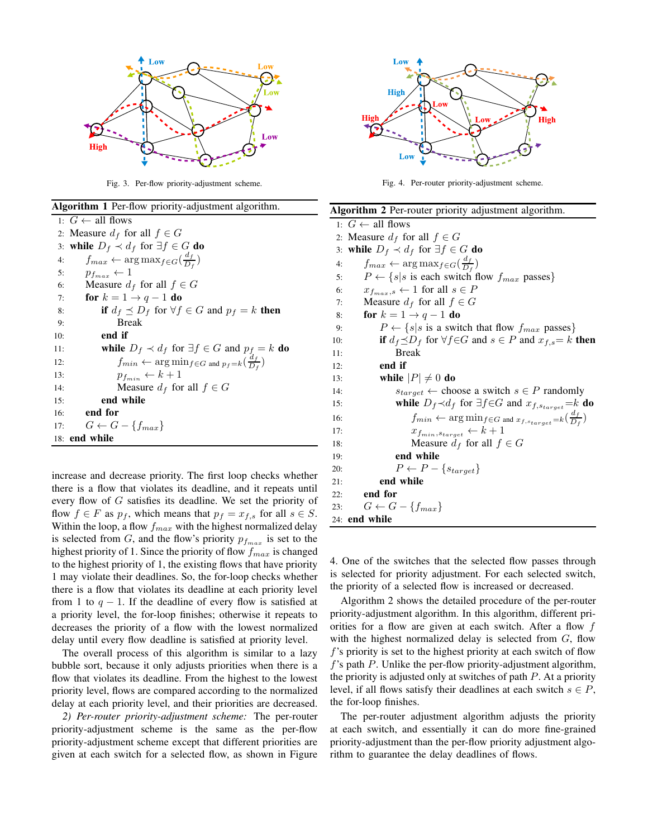

Fig. 3. Per-flow priority-adjustment scheme.

| Algorithm 1 Per-flow priority-adjustment algorithm.                                 |  |  |  |  |
|-------------------------------------------------------------------------------------|--|--|--|--|
| 1: $G \leftarrow$ all flows                                                         |  |  |  |  |
| 2: Measure $d_f$ for all $f \in G$                                                  |  |  |  |  |
| 3: while $D_f \prec d_f$ for $\exists f \in G$ do                                   |  |  |  |  |
| $f_{max} \leftarrow \arg \max_{f \in G} (\frac{d_f}{D_f})$<br>4:                    |  |  |  |  |
| $p_{f_{max}} \leftarrow 1$<br>5:                                                    |  |  |  |  |
| Measure $d_f$ for all $f \in G$<br>6:                                               |  |  |  |  |
| for $k = 1 \rightarrow q - 1$ do<br>7:                                              |  |  |  |  |
| if $d_f \preceq D_f$ for $\forall f \in G$ and $p_f = k$ then<br>8:                 |  |  |  |  |
| <b>Break</b><br>9:                                                                  |  |  |  |  |
| end if<br>10:                                                                       |  |  |  |  |
| while $D_f \prec d_f$ for $\exists f \in G$ and $p_f = k$ do<br>11:                 |  |  |  |  |
| $f_{min} \leftarrow \arg\min_{f \in G} \arg\min_{p_f = k} (\frac{a_f}{D_f})$<br>12: |  |  |  |  |
| $p_{f_{min}} \leftarrow k+1$<br>13:                                                 |  |  |  |  |
| Measure $d_f$ for all $f \in G$<br>14:                                              |  |  |  |  |
| end while<br>15:                                                                    |  |  |  |  |
| $16:$ end for                                                                       |  |  |  |  |
| 17: $G \leftarrow G - \{f_{max}\}\$                                                 |  |  |  |  |
| 18: end while                                                                       |  |  |  |  |

increase and decrease priority. The first loop checks whether there is a flow that violates its deadline, and it repeats until every flow of G satisfies its deadline. We set the priority of flow  $f \in F$  as  $p_f$ , which means that  $p_f = x_{f,s}$  for all  $s \in S$ . Within the loop, a flow  $f_{max}$  with the highest normalized delay is selected from G, and the flow's priority  $p_{f_{max}}$  is set to the highest priority of 1. Since the priority of flow  $f_{max}$  is changed to the highest priority of 1, the existing flows that have priority 1 may violate their deadlines. So, the for-loop checks whether there is a flow that violates its deadline at each priority level from 1 to  $q - 1$ . If the deadline of every flow is satisfied at a priority level, the for-loop finishes; otherwise it repeats to decreases the priority of a flow with the lowest normalized delay until every flow deadline is satisfied at priority level.

The overall process of this algorithm is similar to a lazy bubble sort, because it only adjusts priorities when there is a flow that violates its deadline. From the highest to the lowest priority level, flows are compared according to the normalized delay at each priority level, and their priorities are decreased.

*2) Per-router priority-adjustment scheme:* The per-router priority-adjustment scheme is the same as the per-flow priority-adjustment scheme except that different priorities are given at each switch for a selected flow, as shown in Figure



Fig. 4. Per-router priority-adjustment scheme.

| Algorithm 2 Per-router priority adjustment algorithm.                                          |  |  |  |
|------------------------------------------------------------------------------------------------|--|--|--|
| 1: $G \leftarrow$ all flows                                                                    |  |  |  |
| 2: Measure $d_f$ for all $f \in G$                                                             |  |  |  |
| 3: while $D_f \prec d_f$ for $\exists f \in G$ do                                              |  |  |  |
| $f_{max} \leftarrow \arg \max_{f \in G} (\frac{d_f}{D_f})$<br>4:                               |  |  |  |
| $P \leftarrow \{s   s \text{ is each switch flow } f_{max} \text{ passes}\}\$<br>5:            |  |  |  |
| $x_{f_{max}, s} \leftarrow 1$ for all $s \in P$<br>6:                                          |  |  |  |
| Measure $d_f$ for all $f \in G$<br>7:                                                          |  |  |  |
| for $k = 1 \rightarrow q - 1$ do<br>8:                                                         |  |  |  |
| $P \leftarrow \{s   s \text{ is a switch that flow } f_{max} \text{ passes}\}\$<br>9:          |  |  |  |
| if $d_f \preceq D_f$ for $\forall f \in G$ and $s \in P$ and $x_{f,s} = k$ then<br>10:         |  |  |  |
| <b>Break</b><br>11:                                                                            |  |  |  |
| end if<br>12:                                                                                  |  |  |  |
| while $ P  \neq 0$ do<br>13:                                                                   |  |  |  |
| $s_{target} \leftarrow$ choose a switch $s \in P$ randomly<br>14:                              |  |  |  |
| while $D_f \prec d_f$ for $\exists f \in G$ and $x_{f, \text{starget}} = k$ do<br>15:          |  |  |  |
| $f_{min} \leftarrow \arg \min_{f \in G} \max_{x_{f, s_{target}} = k} (\frac{a_f}{D_f})$<br>16: |  |  |  |
| $x_{f_{min},s_{target}} \leftarrow k+1$<br>17:                                                 |  |  |  |
| Measure $d_f$ for all $f \in G$<br>18:                                                         |  |  |  |
| end while<br>19:                                                                               |  |  |  |
| $P \leftarrow P - \{s_{target}\}$<br>20:                                                       |  |  |  |
| end while<br>21:                                                                               |  |  |  |
| end for<br>22:                                                                                 |  |  |  |
| $G \leftarrow G - \{f_{max}\}\$<br>23:                                                         |  |  |  |
| 24: end while                                                                                  |  |  |  |

4. One of the switches that the selected flow passes through is selected for priority adjustment. For each selected switch, the priority of a selected flow is increased or decreased.

Algorithm 2 shows the detailed procedure of the per-router priority-adjustment algorithm. In this algorithm, different priorities for a flow are given at each switch. After a flow  $f$ with the highest normalized delay is selected from  $G$ , flow f's priority is set to the highest priority at each switch of flow  $f$ 's path  $P$ . Unlike the per-flow priority-adjustment algorithm, the priority is adjusted only at switches of path  $P$ . At a priority level, if all flows satisfy their deadlines at each switch  $s \in P$ , the for-loop finishes.

The per-router adjustment algorithm adjusts the priority at each switch, and essentially it can do more fine-grained priority-adjustment than the per-flow priority adjustment algorithm to guarantee the delay deadlines of flows.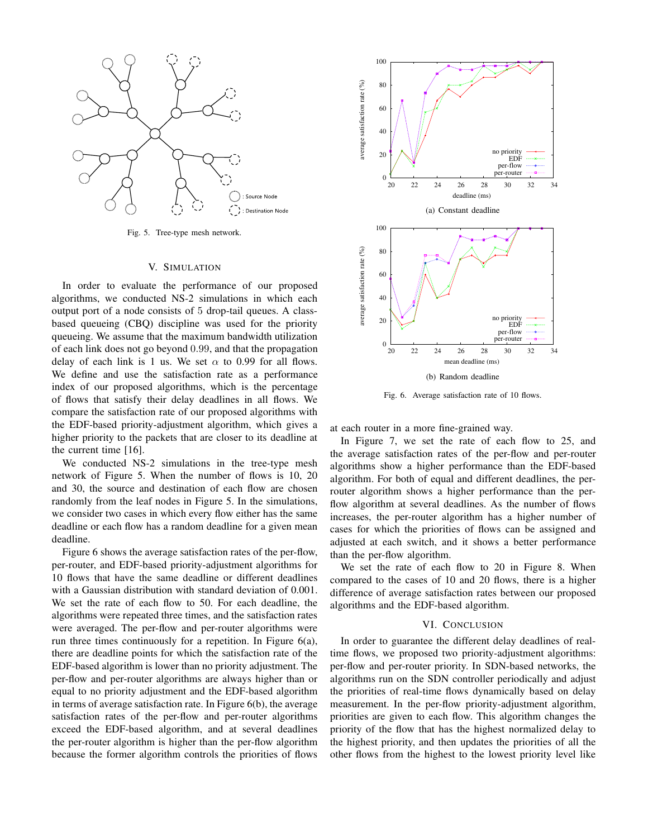

Fig. 5. Tree-type mesh network.

## V. SIMULATION

In order to evaluate the performance of our proposed algorithms, we conducted NS-2 simulations in which each output port of a node consists of 5 drop-tail queues. A classbased queueing (CBQ) discipline was used for the priority queueing. We assume that the maximum bandwidth utilization of each link does not go beyond 0.99, and that the propagation delay of each link is 1 us. We set  $\alpha$  to 0.99 for all flows. We define and use the satisfaction rate as a performance index of our proposed algorithms, which is the percentage of flows that satisfy their delay deadlines in all flows. We compare the satisfaction rate of our proposed algorithms with the EDF-based priority-adjustment algorithm, which gives a higher priority to the packets that are closer to its deadline at the current time [16].

We conducted NS-2 simulations in the tree-type mesh network of Figure 5. When the number of flows is 10, 20 and 30, the source and destination of each flow are chosen randomly from the leaf nodes in Figure 5. In the simulations, we consider two cases in which every flow either has the same deadline or each flow has a random deadline for a given mean deadline.

Figure 6 shows the average satisfaction rates of the per-flow, per-router, and EDF-based priority-adjustment algorithms for 10 flows that have the same deadline or different deadlines with a Gaussian distribution with standard deviation of 0.001. We set the rate of each flow to 50. For each deadline, the algorithms were repeated three times, and the satisfaction rates were averaged. The per-flow and per-router algorithms were run three times continuously for a repetition. In Figure 6(a), there are deadline points for which the satisfaction rate of the EDF-based algorithm is lower than no priority adjustment. The per-flow and per-router algorithms are always higher than or equal to no priority adjustment and the EDF-based algorithm in terms of average satisfaction rate. In Figure 6(b), the average satisfaction rates of the per-flow and per-router algorithms exceed the EDF-based algorithm, and at several deadlines the per-router algorithm is higher than the per-flow algorithm because the former algorithm controls the priorities of flows



Fig. 6. Average satisfaction rate of 10 flows.

at each router in a more fine-grained way.

In Figure 7, we set the rate of each flow to 25, and the average satisfaction rates of the per-flow and per-router algorithms show a higher performance than the EDF-based algorithm. For both of equal and different deadlines, the perrouter algorithm shows a higher performance than the perflow algorithm at several deadlines. As the number of flows increases, the per-router algorithm has a higher number of cases for which the priorities of flows can be assigned and adjusted at each switch, and it shows a better performance than the per-flow algorithm.

We set the rate of each flow to 20 in Figure 8. When compared to the cases of 10 and 20 flows, there is a higher difference of average satisfaction rates between our proposed algorithms and the EDF-based algorithm.

#### VI. CONCLUSION

In order to guarantee the different delay deadlines of realtime flows, we proposed two priority-adjustment algorithms: per-flow and per-router priority. In SDN-based networks, the algorithms run on the SDN controller periodically and adjust the priorities of real-time flows dynamically based on delay measurement. In the per-flow priority-adjustment algorithm, priorities are given to each flow. This algorithm changes the priority of the flow that has the highest normalized delay to the highest priority, and then updates the priorities of all the other flows from the highest to the lowest priority level like